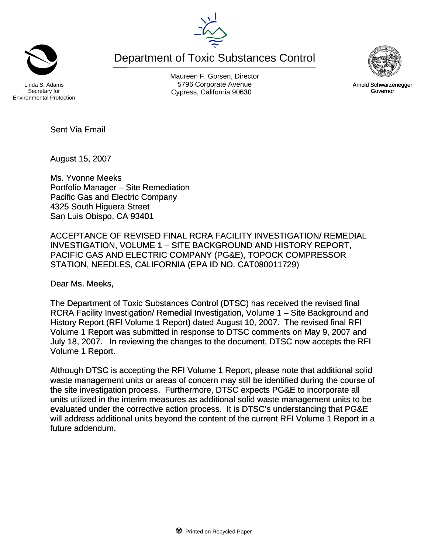Department of Toxic Substances Control



Secretary for Environmental Protection

Maureen F. Gorsen, Director Linda S. Adams **Example 20 Constructs** S796 Corporate Avenu Cypress, California 90630 **Canadian Cypress**, California 90630



August 15, 2007

Ms. Yvonne Meeks Portfolio Manager – Site Remediation Pacific Gas and Electric Company 4325 South Higuera Street San Luis Obispo, CA 93401

ACCEPTANCE OF REVISED FINAL RCRA FACILITY INVESTIGATION/ REMEDIAL INVESTIGATION, VOLUME 1 – SITE BACKGROUND AND HISTORY REPORT, PACIFIC GAS AND ELECTRIC COMPANY (PG&E), TOPOCK COMPRESSOR STATION, NEEDLES, CALIFORNIA (EPA ID NO. CAT080011729)

Dear Ms. Meeks,

The Department of Toxic Substances Control (DTSC) has received the revised final RCRA Facility Investigation/ Remedial Investigation, Volume 1 – Site Background and History Report (RFI Volume 1 Report) dated August 10, 2007. The revised final RFI Volume 1 Report was submitted in response to DTSC comments on May 9, 2007 and July 18, 2007. In reviewing the changes to the document, DTSC now accepts the RFI Volume 1 Report.

Although DTSC is accepting the RFI Volume 1 Report, please note that additional solid waste management units or areas of concern may still be identified during the course of the site investigation process. Furthermore, DTSC expects PG&E to incorporate all units utilized in the interim measures as additional solid waste management units to be evaluated under the corrective action process. It is DTSC's understanding that PG&E will address additional units beyond the content of the current RFI Volume 1 Report in a future addendum.



Arnold Schwarzenegger Governor